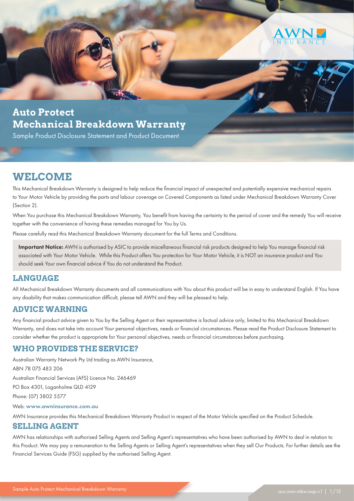

# **Auto Protect Mechanical Breakdown Warranty**

Sample Product Disclosure Statement and Product Document

# **WELCOME**

This Mechanical Breakdown Warranty is designed to help reduce the financial impact of unexpected and potentially expensive mechanical repairs to Your Motor Vehicle by providing the parts and labour coverage on Covered Components as listed under Mechanical Breakdown Warranty Cover (Section 2).

When You purchase this Mechanical Breakdown Warranty, You benefit from having the certainty to the period of cover and the remedy You will receive together with the convenience of having these remedies managed for You by Us.

Please carefully read this Mechanical Breakdown Warranty document for the full Terms and Conditions.

Important Notice: AWN is authorised by ASIC to provide miscellaneous financial risk products designed to help You manage financial risk associated with Your Motor Vehicle. While this Product offers You protection for Your Motor Vehicle, it is NOT an insurance product and You should seek Your own financial advice if You do not understand the Product.

# **LANGUAGE**

All Mechanical Breakdown Warranty documents and all communications with You about this product will be in easy to understand English. If You have any disability that makes communication difficult, please tell AWN and they will be pleased to help.

# **ADVICE WARNING**

Any financial product advice given to You by the Selling Agent or their representative is factual advice only, limited to this Mechanical Breakdown Warranty, and does not take into account Your personal objectives, needs or financial circumstances. Please read the Product Disclosure Statement to consider whether the product is appropriate for Your personal objectives, needs or financial circumstances before purchasing.

# **WHO PROVIDES THE SERVICE?**

Australian Warranty Network Pty Ltd trading as AWN Insurance, ABN 78 075 483 206 Australian Financial Services (AFS) Licence No. 246469 PO Box 4301, Loganholme QLD 4129 Phone: (07) 3802 5577

Web: www.awninsurance.com.au

AWN Insurance provides this Mechanical Breakdown Warranty Product in respect of the Motor Vehicle specified on the Product Schedule.

### **SELLING AGENT**

AWN has relationships with authorised Selling Agents and Selling Agent's representatives who have been authorised by AWN to deal in relation to this Product. We may pay a remuneration to the Selling Agents or Selling Agent's representatives when they sell Our Products. For further details see the Financial Services Guide (FSG) supplied by the authorised Selling Agent.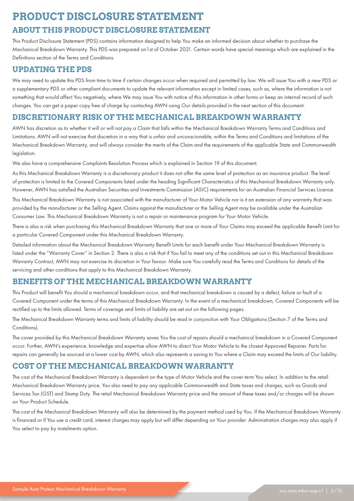# **PRODUCT DISCLOSURE STATEMENT ABOUT THIS PRODUCT DISCLOSURE STATEMENT**

This Product Disclosure Statement (PDS) contains information designed to help You make an informed decision about whether to purchase the Mechanical Breakdown Warranty. This PDS was prepared on1st of October 2021. Certain words have special meanings which are explained in the Definitions section of the Terms and Conditions.

## **UPDATING THE PDS**

We may need to update this PDS from time to time if certain changes occur when required and permitted by law. We will issue You with a new PDS or a supplementary PDS or other compliant documents to update the relevant information except in limited cases, such as, where the information is not something that would affect You negatively, where We may issue You with notice of this information in other forms or keep an internal record of such changes. You can get a paper copy free of charge by contacting AWN using Our details provided in the next section of this document.

## **DISCRETIONARY RISK OF THE MECHANICAL BREAKDOWN WARRANTY**

AWN has discretion as to whether it will or will not pay a Claim that falls within the Mechanical Breakdown Warranty Terms and Conditions and Limitations. AWN will not exercise that discretion in a way that is unfair and unconscionable, within the Terms and Conditions and limitations of the Mechanical Breakdown Warranty, and will always consider the merits of the Claim and the requirements of the applicable State and Commonwealth legislation.

We also have a comprehensive Complaints Resolution Process which is explained in Section 19 of this document.

As this Mechanical Breakdown Warranty is a discretionary product it does not offer the same level of protection as an insurance product. The level of protection is limited to the Covered Components listed under the heading Significant Characteristics of this Mechanical Breakdown Warranty only. However, AWN has satisfied the Australian Securities and Investments Commission (ASIC) requirements for an Australian Financial Services Licence. This Mechanical Breakdown Warranty is not associated with the manufacturer of Your Motor Vehicle nor is it an extension of any warranty that was provided by the manufacturer or the Selling Agent. Claims against the manufacturer or the Selling Agent may be available under the Australian Consumer Law. This Mechanical Breakdown Warranty is not a repair or maintenance program for Your Motor Vehicle.

There is also a risk when purchasing this Mechanical Breakdown Warranty that one or more of Your Claims may exceed the applicable Benefit Limit for a particular Covered Component under this Mechanical Breakdown Warranty.

Detailed information about the Mechanical Breakdown Warranty Benefit Limits for each benefit under Your Mechanical Breakdown Warranty is listed under the "Warranty Cover" in Section 2. There is also a risk that if You fail to meet any of the conditions set out in this Mechanical Breakdown Warranty Contract, AWN may not exercise its discretion in Your favour. Make sure You carefully read the Terms and Conditions for details of the servicing and other conditions that apply to this Mechanical Breakdown Warranty.

### **BENEFITS OF THE MECHANICAL BREAKDOWN WARRANTY**

This Product will benefit You should a mechanical breakdown occur, and that mechanical breakdown is caused by a defect, failure or fault of a Covered Component under the terms of this Mechanical Breakdown Warranty. In the event of a mechanical breakdown, Covered Components will be rectified up to the limits allowed. Terms of coverage and limits of liability are set out on the following pages.

The Mechanical Breakdown Warranty terms and limits of liability should be read in conjunction with Your Obligations (Section 7 of the Terms and Conditions).

The cover provided by this Mechanical Breakdown Warranty saves You the cost of repairs should a mechanical breakdown in a Covered Component occur. Further, AWN's experience, knowledge and expertise allow AWN to direct Your Motor Vehicle to the closest Approved Repairer. Parts for repairs can generally be sourced at a lower cost by AWN, which also represents a saving to You where a Claim may exceed the limits of Our liability.

# **COST OF THE MECHANICAL BREAKDOWN WARRANTY**

The cost of the Mechanical Breakdown Warranty is dependent on the type of Motor Vehicle and the cover term You select. In addition to the retail Mechanical Breakdown Warranty price, You also need to pay any applicable Commonwealth and State taxes and charges, such as Goods and Services Tax (GST) and Stamp Duty. The retail Mechanical Breakdown Warranty price and the amount of these taxes and/or charges will be shown on Your Product Schedule.

The cost of the Mechanical Breakdown Warranty will also be determined by the payment method used by You. If the Mechanical Breakdown Warranty is financed or if You use a credit card, interest charges may apply but will differ depending on Your provider. Administration charges may also apply if You select to pay by instalments option.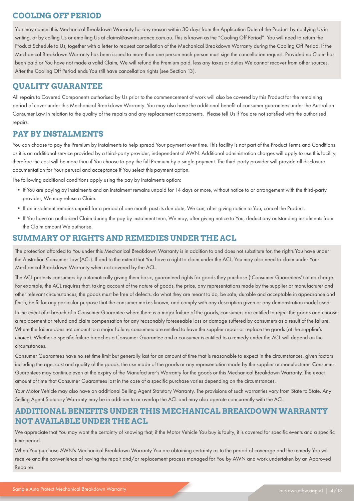# **COOLING OFF PERIOD**

You may cancel this Mechanical Breakdown Warranty for any reason within 30 days from the Application Date of the Product by notifying Us in writing, or by calling Us or emailing Us at claims@awninsurance.com.au. This is known as the "Cooling Off Period". You will need to return the Product Schedule to Us, together with a letter to request cancellation of the Mechanical Breakdown Warranty during the Cooling Off Period. If the Mechanical Breakdown Warranty has been issued to more than one person each person must sign the cancellation request. Provided no Claim has been paid or You have not made a valid Claim, We will refund the Premium paid, less any taxes or duties We cannot recover from other sources. After the Cooling Off Period ends You still have cancellation rights (see Section 13).

# **QUALITY GUARANTEE**

All repairs to Covered Components authorised by Us prior to the commencement of work will also be covered by this Product for the remaining period of cover under this Mechanical Breakdown Warranty. You may also have the additional benefit of consumer guarantees under the Australian Consumer Law in relation to the quality of the repairs and any replacement components. Please tell Us if You are not satisfied with the authorised repairs.

## **PAY BY INSTALMENTS**

You can choose to pay the Premium by instalments to help spread Your payment over time. This facility is not part of the Product Terms and Conditions as it is an additional service provided by a third-party provider, independent of AWN. Additional administration charges will apply to use this facility; therefore the cost will be more than if You choose to pay the full Premium by a single payment. The third-party provider will provide all disclosure documentation for Your perusal and acceptance if You select this payment option.

The following additional conditions apply using the pay by instalments option:

- If You are paying by instalments and an instalment remains unpaid for 14 days or more, without notice to or arrangement with the third-party provider, We may refuse a Claim.
- If an instalment remains unpaid for a period of one month past its due date, We can, after giving notice to You, cancel the Product.
- If You have an authorised Claim during the pay by instalment term, We may, after giving notice to You, deduct any outstanding instalments from the Claim amount We authorise.

## **SUMMARY OF RIGHTS AND REMEDIES UNDER THE ACL**

The protection afforded to You under this Mechanical Breakdown Warranty is in addition to and does not substitute for, the rights You have under the Australian Consumer Law (ACL). If and to the extent that You have a right to claim under the ACL, You may also need to claim under Your Mechanical Breakdown Warranty when not covered by the ACL.

The ACL protects consumers by automatically giving them basic, guaranteed rights for goods they purchase ('Consumer Guarantees') at no charge. For example, the ACL requires that, taking account of the nature of goods, the price, any representations made by the supplier or manufacturer and other relevant circumstances, the goods must be free of defects, do what they are meant to do, be safe, durable and acceptable in appearance and finish, be fit for any particular purpose that the consumer makes known, and comply with any description given or any demonstration model used.

In the event of a breach of a Consumer Guarantee where there is a major failure of the goods, consumers are entitled to reject the goods and choose a replacement or refund and claim compensation for any reasonably foreseeable loss or damage suffered by consumers as a result of the failure. Where the failure does not amount to a major failure, consumers are entitled to have the supplier repair or replace the goods (at the supplier's choice). Whether a specific failure breaches a Consumer Guarantee and a consumer is entitled to a remedy under the ACL will depend on the circumstances.

Consumer Guarantees have no set time limit but generally last for an amount of time that is reasonable to expect in the circumstances, given factors including the age, cost and quality of the goods, the use made of the goods or any representation made by the supplier or manufacturer. Consumer Guarantees may continue even at the expiry of the Manufacturer's Warranty for the goods or this Mechanical Breakdown Warranty. The exact amount of time that Consumer Guarantees last in the case of a specific purchase varies depending on the circumstances.

Your Motor Vehicle may also have an additional Selling Agent Statutory Warranty. The provisions of such warranties vary from State to State. Any Selling Agent Statutory Warranty may be in addition to or overlap the ACL and may also operate concurrently with the ACL.

# **ADDITIONAL BENEFITS UNDER THIS MECHANICAL BREAKDOWN WARRANTY NOT AVAILABLE UNDER THE ACL**

We appreciate that You may want the certainty of knowing that, if the Motor Vehicle You buy is faulty, it is covered for specific events and a specific time period.

When You purchase AWN's Mechanical Breakdown Warranty You are obtaining certainty as to the period of coverage and the remedy You will receive and the convenience of having the repair and/or replacement process managed for You by AWN and work undertaken by an Approved Repairer.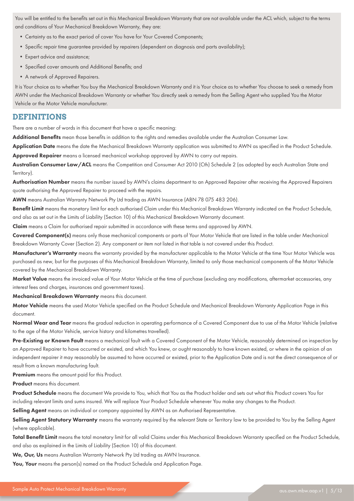You will be entitled to the benefits set out in this Mechanical Breakdown Warranty that are not available under the ACL which, subject to the terms and conditions of Your Mechanical Breakdown Warranty, they are:

- Certainty as to the exact period of cover You have for Your Covered Components;
- Specific repair time guarantee provided by repairers (dependent on diagnosis and parts availability);
- Expert advice and assistance;
- Specified cover amounts and Additional Benefits; and
- A network of Approved Repairers.

It is Your choice as to whether You buy the Mechanical Breakdown Warranty and it is Your choice as to whether You choose to seek a remedy from AWN under the Mechanical Breakdown Warranty or whether You directly seek a remedy from the Selling Agent who supplied You the Motor Vehicle or the Motor Vehicle manufacturer.

### **DEFINITIONS**

There are a number of words in this document that have a specific meaning:

Additional Benefits mean those benefits in addition to the rights and remedies available under the Australian Consumer Law.

Application Date means the date the Mechanical Breakdown Warranty application was submitted to AWN as specified in the Product Schedule. Approved Repairer means a licensed mechanical workshop approved by AWN to carry out repairs.

Australian Consumer Law/ACL means the Competition and Consumer Act 2010 (Cth) Schedule 2 (as adopted by each Australian State and Territory).

Authorisation Number means the number issued by AWN's claims department to an Approved Repairer after receiving the Approved Repairers quote authorising the Approved Repairer to proceed with the repairs.

AWN means Australian Warranty Network Pty Ltd trading as AWN Insurance (ABN 78 075 483 206).

Benefit Limit means the monetary limit for each authorised Claim under this Mechanical Breakdown Warranty indicated on the Product Schedule. and also as set out in the Limits of Liability (Section 10) of this Mechanical Breakdown Warranty document.

Claim means a Claim for authorised repair submitted in accordance with these terms and approved by AWN.

Covered Component(s) means only those mechanical components or parts of Your Motor Vehicle that are listed in the table under Mechanical Breakdown Warranty Cover (Section 2). Any component or item not listed in that table is not covered under this Product.

Manufacturer's Warranty means the warranty provided by the manufacturer applicable to the Motor Vehicle at the time Your Motor Vehicle was purchased as new, but for the purposes of this Mechanical Breakdown Warranty, limited to only those mechanical components of the Motor Vehicle covered by the Mechanical Breakdown Warranty.

Market Value means the invoiced value of Your Motor Vehicle at the time of purchase (excluding any modifications, aftermarket accessories, any interest fees and charges, insurances and government taxes).

Mechanical Breakdown Warranty means this document.

Motor Vehicle means the used Motor Vehicle specified on the Product Schedule and Mechanical Breakdown Warranty Application Page in this document.

Normal Wear and Tear means the gradual reduction in operating performance of a Covered Component due to use of the Motor Vehicle (relative to the age of the Motor Vehicle, service history and kilometres travelled).

Pre-Existing or Known Fault means a mechanical fault with a Covered Component of the Motor Vehicle, reasonably determined on inspection by an Approved Repairer to have occurred or existed, and which You knew, or ought reasonably to have known existed, or where in the opinion of an independent repairer it may reasonably be assumed to have occurred or existed, prior to the Application Date and is not the direct consequence of or result from a known manufacturing fault.

Premium means the amount paid for this Product.

Product means this document.

Product Schedule means the document We provide to You, which that You as the Product holder and sets out what this Product covers You for including relevant limits and sums insured. We will replace Your Product Schedule whenever You make any changes to the Product.

Selling Agent means an individual or company appointed by AWN as an Authorised Representative.

Selling Agent Statutory Warranty means the warranty required by the relevant State or Territory law to be provided to You by the Selling Agent (where applicable).

Total Benefit Limit means the total monetary limit for all valid Claims under this Mechanical Breakdown Warranty specified on the Product Schedule, and also as explained in the Limits of Liability (Section 10) of this document.

We, Our, Us means Australian Warranty Network Pty Ltd trading as AWN Insurance.

You, Your means the person(s) named on the Product Schedule and Application Page.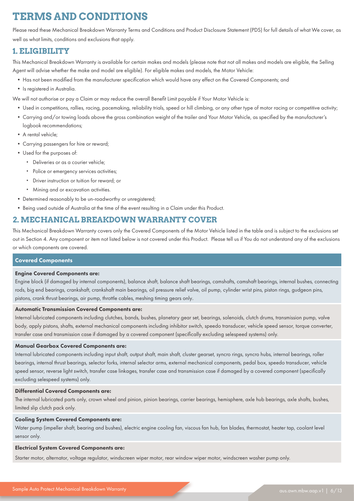# **TERMS AND CONDITIONS**

Please read these Mechanical Breakdown Warranty Terms and Conditions and Product Disclosure Statement (PDS) for full details of what We cover, as well as what limits, conditions and exclusions that apply.

### **1. ELIGIBILITY**

This Mechanical Breakdown Warranty is available for certain makes and models (please note that not all makes and models are eligible, the Selling Agent will advise whether the make and model are eligible). For eligible makes and models, the Motor Vehicle:

- Has not been modified from the manufacturer specification which would have any effect on the Covered Components; and
- Is registered in Australia.

We will not authorise or pay a Claim or may reduce the overall Benefit Limit payable if Your Motor Vehicle is:

- Used in competitions, rallies, racing, pacemaking, reliability trials, speed or hill climbing, or any other type of motor racing or competitive activity;
- Carrying and/or towing loads above the gross combination weight of the trailer and Your Motor Vehicle, as specified by the manufacturer's logbook recommendations;
- A rental vehicle;
- Carrying passengers for hire or reward;
- Used for the purposes of:
	- Deliveries or as a courier vehicle;
	- Police or emergency services activities;
	- Driver instruction or tuition for reward; or
	- Mining and or excavation activities.
- Determined reasonably to be un-roadworthy or unregistered;
- Being used outside of Australia at the time of the event resulting in a Claim under this Product.

### **2. MECHANICAL BREAKDOWN WARRANTY COVER**

This Mechanical Breakdown Warranty covers only the Covered Components of the Motor Vehicle listed in the table and is subject to the exclusions set out in Section 4. Any component or item not listed below is not covered under this Product. Please tell us if You do not understand any of the exclusions or which components are covered.

### Covered Components

#### Engine Covered Components are:

Engine block (if damaged by internal components), balance shaft, balance shaft bearings, camshafts, camshaft bearings, internal bushes, connecting rods, big end bearings, crankshaft, crankshaft main bearings, oil pressure relief valve, oil pump, cylinder wrist pins, piston rings, gudgeon pins, pistons, crank thrust bearings, air pump, throttle cables, meshing timing gears only.

#### Automatic Transmission Covered Components are:

Internal lubricated components including clutches, bands, bushes, planetary gear set, bearings, solenoids, clutch drums, transmission pump, valve body, apply pistons, shafts, external mechanical components including inhibitor switch, speedo transducer, vehicle speed sensor, torque converter, transfer case and transmission case if damaged by a covered component (specifically excluding selespeed systems) only.

### Manual Gearbox Covered Components are:

Internal lubricated components including input shaft, output shaft, main shaft, cluster gearset, syncro rings, syncro hubs, internal bearings, roller bearings, internal thrust bearings, selector forks, internal selector arms, external mechanical components, pedal box, speedo transducer, vehicle speed sensor, reverse light switch, transfer case linkages, transfer case and transmission case if damaged by a covered component (specifically excluding selespeed systems) only.

#### Differential Covered Components are:

The internal lubricated parts only, crown wheel and pinion, pinion bearings, carrier bearings, hemisphere, axle hub bearings, axle shafts, bushes, limited slip clutch pack only.

#### Cooling System Covered Components are:

Water pump (impeller shaft, bearing and bushes), electric engine cooling fan, viscous fan hub, fan blades, thermostat, heater tap, coolant level sensor only.

#### Electrical System Covered Components are:

Starter motor, alternator, voltage regulator, windscreen wiper motor, rear window wiper motor, windscreen washer pump only.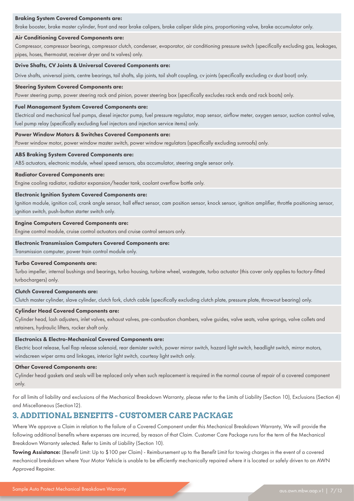#### Braking System Covered Components are:

Brake booster, brake master cylinder, front and rear brake calipers, brake caliper slide pins, proportioning valve, brake accumulator only.

#### Air Conditioning Covered Components are:

Compressor, compressor bearings, compressor clutch, condenser, evaporator, air conditioning pressure switch (specifically excluding gas, leakages, pipes, hoses, thermostat, receiver dryer and tx valves) only.

#### Drive Shafts, CV Joints & Universal Covered Components are:

Drive shafts, universal joints, centre bearings, tail shafts, slip joints, tail shaft coupling, cv joints (specifically excluding cv dust boot) only.

#### Steering System Covered Components are:

Power steering pump, power steering rack and pinion, power steering box (specifically excludes rack ends and rack boots) only.

#### Fuel Management System Covered Components are:

Electrical and mechanical fuel pumps, diesel injector pump, fuel pressure regulator, map sensor, airflow meter, oxygen sensor, suction control valve, fuel pump relay (specifically excluding fuel injectors and injection service items) only.

#### Power Window Motors & Switches Covered Components are:

Power window motor, power window master switch, power window regulators (specifically excluding sunroofs) only.

#### ABS Braking System Covered Components are:

ABS actuators, electronic module, wheel speed sensors, abs accumulator, steering angle sensor only.

#### Radiator Covered Components are:

Engine cooling radiator, radiator expansion/header tank, coolant overflow bottle only.

#### Electronic Ignition System Covered Components are:

Ignition module, ignition coil, crank angle sensor, hall effect sensor, cam position sensor, knock sensor, ignition amplifier, throttle positioning sensor, ignition switch, push-button starter switch only.

#### Engine Computers Covered Components are:

Engine control module, cruise control actuators and cruise control sensors only.

#### Electronic Transmission Computers Covered Components are:

Transmission computer, power train control module only.

#### Turbo Covered Components are:

Turbo impeller, internal bushings and bearings, turbo housing, turbine wheel, wastegate, turbo actuator (this cover only applies to factory-fitted turbochargers) only.

#### Clutch Covered Components are:

Clutch master cylinder, slave cylinder, clutch fork, clutch cable (specifically excluding clutch plate, pressure plate, throwout bearing) only.

#### Cylinder Head Covered Components are:

Cylinder head, lash adjusters, inlet valves, exhaust valves, pre-combustion chambers, valve guides, valve seats, valve springs, valve collets and retainers, hydraulic lifters, rocker shaft only.

#### Electronics & Electro-Mechanical Covered Components are:

Electric boot release, fuel flap release solenoid, rear demister switch, power mirror switch, hazard light switch, headlight switch, mirror motors, windscreen wiper arms and linkages, interior light switch, courtesy light switch only.

#### Other Covered Components are:

Cylinder head gaskets and seals will be replaced only when such replacement is required in the normal course of repair of a covered component only.

For all limits of liability and exclusions of the Mechanical Breakdown Warranty, please refer to the Limits of Liability (Section 10), Exclusions (Section 4) and Miscellaneous (Section12).

### **3. ADDITIONAL BENEFITS - CUSTOMER CARE PACKAGE**

Where We approve a Claim in relation to the failure of a Covered Component under this Mechanical Breakdown Warranty, We will provide the following additional benefits where expenses are incurred, by reason of that Claim. Customer Care Package runs for the term of the Mechanical Breakdown Warranty selected. Refer to Limits of Liability (Section 10).

Towing Assistance: (Benefit Limit: Up to \$100 per Claim) - Reimbursement up to the Benefit Limit for towing charges in the event of a covered mechanical breakdown where Your Motor Vehicle is unable to be efficiently mechanically repaired where it is located or safely driven to an AWN Approved Repairer.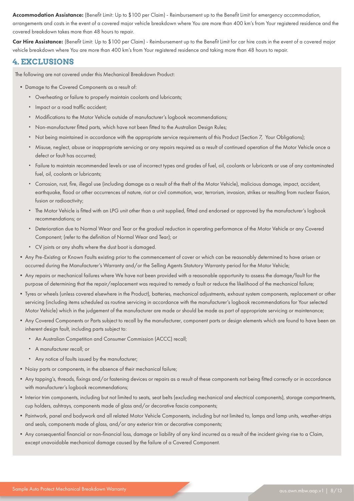Accommodation Assistance: (Benefit Limit: Up to \$100 per Claim) - Reimbursement up to the Benefit Limit for emergency accommodation, arrangements and costs in the event of a covered major vehicle breakdown where You are more than 400 km's from Your registered residence and the covered breakdown takes more than 48 hours to repair.

Car Hire Assistance: (Benefit Limit: Up to \$100 per Claim) - Reimbursement up to the Benefit Limit for car hire costs in the event of a covered major vehicle breakdown where You are more than 400 km's from Your registered residence and taking more than 48 hours to repair.

### **4. EXCLUSIONS**

The following are not covered under this Mechanical Breakdown Product:

- Damage to the Covered Components as a result of:
	- Overheating or failure to properly maintain coolants and lubricants;
	- Impact or a road traffic accident;
	- Modifications to the Motor Vehicle outside of manufacturer's logbook recommendations;
	- Non-manufacturer fitted parts, which have not been fitted to the Australian Design Rules;
	- Not being maintained in accordance with the appropriate service requirements of this Product (Section 7, Your Obligations);
	- Misuse, neglect, abuse or inappropriate servicing or any repairs required as a result of continued operation of the Motor Vehicle once a defect or fault has occurred;
	- Failure to maintain recommended levels or use of incorrect types and grades of fuel, oil, coolants or lubricants or use of any contaminated fuel, oil, coolants or lubricants;
	- Corrosion, rust, fire, illegal use (including damage as a result of the theft of the Motor Vehicle), malicious damage, impact, accident, earthquake, flood or other occurrences of nature, riot or civil commotion, war, terrorism, invasion, strikes or resulting from nuclear fission, fusion or radioactivity;
	- The Motor Vehicle is fitted with an LPG unit other than a unit supplied, fitted and endorsed or approved by the manufacturer's logbook recommendations; or
	- Deterioration due to Normal Wear and Tear or the gradual reduction in operating performance of the Motor Vehicle or any Covered Component; (refer to the definition of Normal Wear and Tear); or
	- CV joints or any shafts where the dust boot is damaged.
- Any Pre-Existing or Known Faults existing prior to the commencement of cover or which can be reasonably determined to have arisen or occurred during the Manufacturer's Warranty and/or the Selling Agents Statutory Warranty period for the Motor Vehicle;
- Any repairs or mechanical failures where We have not been provided with a reasonable opportunity to assess the damage/fault for the purpose of determining that the repair/replacement was required to remedy a fault or reduce the likelihood of the mechanical failure;
- Tyres or wheels (unless covered elsewhere in the Product), batteries, mechanical adjustments, exhaust system components, replacement or other servicing (including items scheduled as routine servicing in accordance with the manufacturer's logbook recommendations for Your selected Motor Vehicle) which in the judgement of the manufacturer are made or should be made as part of appropriate servicing or maintenance;
- Any Covered Components or Parts subject to recall by the manufacturer, component parts or design elements which are found to have been an inherent design fault, including parts subject to:
	- An Australian Competition and Consumer Commission (ACCC) recall;
	- A manufacturer recall; or
	- Any notice of faults issued by the manufacturer;
- Noisy parts or components, in the absence of their mechanical failure:
- Any tapping's, threads, fixings and/or fastening devices or repairs as a result of these components not being fitted correctly or in accordance with manufacturer's logbook recommendations;
- Interior trim components, including but not limited to seats, seat belts (excluding mechanical and electrical components), storage compartments, cup holders, ashtrays, components made of glass and/or decorative fascia components;
- Paintwork, panel and bodywork and all related Motor Vehicle Components, including but not limited to, lamps and lamp units, weather-strips and seals, components made of glass, and/or any exterior trim or decorative components;
- Any consequential financial or non-financial loss, damage or liability of any kind incurred as a result of the incident giving rise to a Claim, except unavoidable mechanical damage caused by the failure of a Covered Component.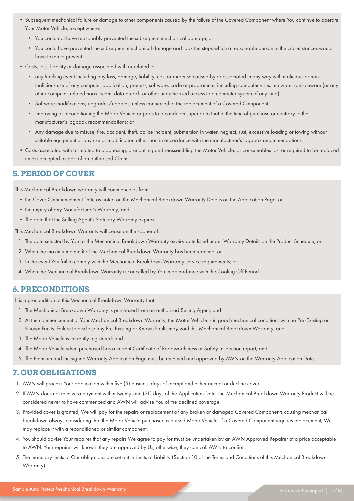- Subsequent mechanical failure or damage to other components caused by the failure of the Covered Component where You continue to operate Your Motor Vehicle, except where:
	- You could not have reasonably prevented the subsequent mechanical damage; or
	- You could have prevented the subsequent mechanical damage and took the steps which a reasonable person in the circumstances would have taken to prevent it.
- Costs, loss, liability or damage associated with or related to:
	- any hacking event including any loss, damage, liability, cost or expense caused by or associated in any way with malicious or nonmalicious use of any computer application, process, software, code or programme, including computer virus, malware, ransomware (or any other computer-related hoax, scam, data breach or other unauthorised access to a computer system of any kind).
	- Software modifications, upgrades/updates, unless connected to the replacement of a Covered Component;
	- Improving or reconditioning the Motor Vehicle or parts to a condition superior to that at the time of purchase or contrary to the manufacturer's logbook recommendations; or
	- Any damage due to misuse, fire, accident, theft, police incident, submersion in water, neglect, rust, excessive loading or towing without suitable equipment or any use or modification other than in accordance with the manufacturer's logbook recommendations.
- Costs associated with or related to diagnosing, dismantling and reassembling the Motor Vehicle, or consumables lost or required to be replaced unless accepted as part of an authorised Claim.

### **5. PERIOD OF COVER**

This Mechanical Breakdown warranty will commence as from;

- the Cover Commencement Date as noted on the Mechanical Breakdown Warranty Details on the Application Page; or
- the expiry of any Manufacturer's Warranty; and
- The date that the Selling Agent's Statutory Warranty expires.

This Mechanical Breakdown Warranty will cease on the sooner of:

- 1. The date selected by You as the Mechanical Breakdown Warranty expiry date listed under Warranty Details on the Product Schedule; or
- 2. When the maximum benefit of the Mechanical Breakdown Warranty has been reached; or
- 3. In the event You fail to comply with the Mechanical Breakdown Warranty service requirements; or
- 4. When the Mechanical Breakdown Warranty is cancelled by You in accordance with the Cooling Off Period.

### **6. PRECONDITIONS**

It is a precondition of this Mechanical Breakdown Warranty that:

- 1. The Mechanical Breakdown Warranty is purchased from an authorised Selling Agent; and
- 2. At the commencement of Your Mechanical Breakdown Warranty, the Motor Vehicle is in good mechanical condition, with no Pre-Existing or Known Faults. Failure to disclose any Pre-Existing or Known Faults may void this Mechanical Breakdown Warranty; and
- 3. The Motor Vehicle is currently registered; and
- 4. The Motor Vehicle when purchased has a current Certificate of Roadworthiness or Safety Inspection report; and
- 5. The Premium and the signed Warranty Application Page must be received and approved by AWN on the Warranty Application Date.

### **7. OUR OBLIGATIONS**

- 1. AWN will process Your application within five (5) business days of receipt and either accept or decline cover.
- 2. If AWN does not receive a payment within twenty-one (21) days of the Application Date, the Mechanical Breakdown Warranty Product will be considered never to have commenced and AWN will advise You of the declined coverage.
- 3. Provided cover is granted, We will pay for the repairs or replacement of any broken or damaged Covered Components causing mechanical breakdown always considering that the Motor Vehicle purchased is a used Motor Vehicle. If a Covered Component requires replacement, We may replace it with a reconditioned or similar component.
- 4. You should advise Your repairer that any repairs We agree to pay for must be undertaken by an AWN Approved Repairer at a price acceptable to AWN. Your repairer will know if they are approved by Us, otherwise, they can call AWN to confirm.
- 5. The monetary limits of Our obligations are set out in Limits of Liability (Section 10 of the Terms and Conditions of this Mechanical Breakdown Warranty).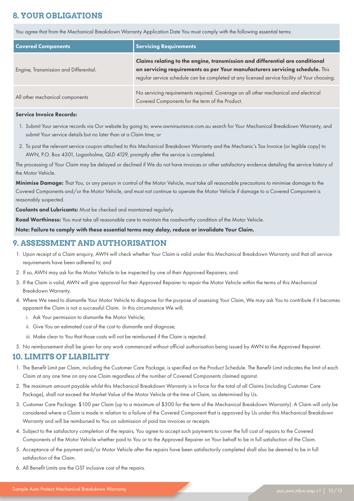# **8. YOUR OBLIGATIONS**

You agree that from the Mechanical Breakdown Warranty Application Date You must comply with the following essential terms:

| <b>Covered Components</b>              | <b>Servicing Requirements</b>                                                                                                                                                                                                                                |
|----------------------------------------|--------------------------------------------------------------------------------------------------------------------------------------------------------------------------------------------------------------------------------------------------------------|
| Engine, Transmission and Differential. | Claims relating to the engine, transmission and differential are conditional<br>on servicing requirements as per Your manufacturers servicing schedule. This<br>regular service schedule can be completed at any licensed service facility of Your choosing. |
| All other mechanical components        | No servicing requirements required. Coverage on all other mechanical and electrical<br>Covered Components for the term of the Product.                                                                                                                       |

#### Service Invoice Records:

- 1. Submit Your service records via Our website by going to; www.awninsurance.com.au search for Your Mechanical Breakdown Warranty, and submit Your service details but no later than at a Claim time; or
- 2. To post the relevant service coupon attached to this Mechanical Breakdown Warranty and the Mechanic's Tax Invoice (or legible copy) to AWN, P.O. Box 4301, Loganholme, QLD 4129, promptly after the service is completed.

The processing of Your Claim may be delayed or declined if We do not have invoices or other satisfactory evidence detailing the service history of the Motor Vehicle.

Minimise Damage: That You, or any person in control of the Motor Vehicle, must take all reasonable precautions to minimise damage to the Covered Components and/or the Motor Vehicle, and must not continue to operate the Motor Vehicle if damage to a Covered Component is reasonably suspected.

Coolants and Lubricants: Must be checked and maintained regularly.

Road Worthiness: You must take all reasonable care to maintain the roadworthy condition of the Motor Vehicle.

Note: Failure to comply with these essential terms may delay, reduce or invalidate Your Claim.

### **9. ASSESSMENT AND AUTHORISATION**

- 1. Upon receipt of a Claim enquiry, AWN will check whether Your Claim is valid under this Mechanical Breakdown Warranty and that all service requirements have been adhered to; and
- 2. If so, AWN may ask for the Motor Vehicle to be inspected by one of their Approved Repairers; and
- 3. If the Claim is valid, AWN will give approval for their Approved Repairer to repair the Motor Vehicle within the terms of this Mechanical Breakdown Warranty.
- 4. Where We need to dismantle Your Motor Vehicle to diagnose for the purpose of assessing Your Claim, We may ask You to contribute if it becomes apparent the Claim is not a successful Claim. In this circumstance We will;
	- i. Ask Your permission to dismantle the Motor Vehicle;
	- ii. Give You an estimated cost of the cost to dismantle and diagnose;
	- iii. Make clear to You that those costs will not be reimbursed if the Claim is rejected.
- 5. No reimbursement shall be given for any work commenced without official authorisation being issued by AWN to the Approved Repairer.

### **10. LIMITS OF LIABILITY**

- 1. The Benefit Limit per Claim, including the Customer Care Package, is specified on the Product Schedule. The Benefit Limit indicates the limit of each Claim at any one time on any one Claim regardless of the number of Covered Components claimed against.
- 2. The maximum amount payable whilst this Mechanical Breakdown Warranty is in force for the total of all Claims (including Customer Care Package), shall not exceed the Market Value of the Motor Vehicle at the time of Claim, as determined by Us.
- 3. Customer Care Package: \$100 per Claim (up to a maximum of \$300 for the term of the Mechanical Breakdown Warranty). A Claim will only be considered where a Claim is made in relation to a failure of the Covered Component that is approved by Us under this Mechanical Breakdown Warranty and will be reimbursed to You on submission of paid tax invoices or receipts.
- 4. Subject to the satisfactory completion of the repairs, You agree to accept such payments to cover the full cost of repairs to the Covered Components of the Motor Vehicle whether paid to You or to the Approved Repairer on Your behalf to be in full satisfaction of the Claim.
- 5. Acceptance of the payment and/or Motor Vehicle after the repairs have been satisfactorily completed shall also be deemed to be in full satisfaction of the Claim.
- 6. All Benefit Limits are the GST inclusive cost of the repairs.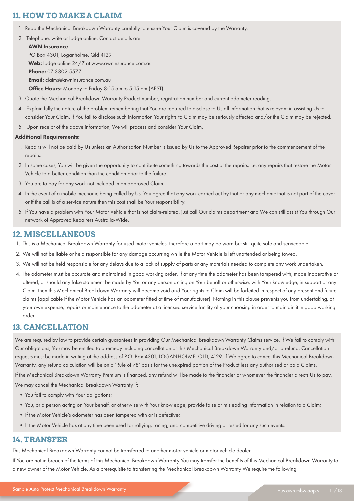# **11. HOW TO MAKE A CLAIM**

- 1. Read the Mechanical Breakdown Warranty carefully to ensure Your Claim is covered by the Warranty.
- 2. Telephone, write or lodge online. Contact details are:

AWN Insurance PO Box 4301, Loganholme, Qld 4129 Web: lodge online 24/7 at www.awninsurance.com.au Phone: 07 3802 5577 Email: claims@awninsurance.com.au Office Hours: Monday to Friday 8:15 am to 5:15 pm (AEST)

- 3. Quote the Mechanical Breakdown Warranty Product number, registration number and current odometer reading.
- 4. Explain fully the nature of the problem remembering that You are required to disclose to Us all information that is relevant in assisting Us to consider Your Claim. If You fail to disclose such information Your rights to Claim may be seriously affected and/or the Claim may be rejected.
- 5. Upon receipt of the above information, We will process and consider Your Claim.

#### Additional Requirements:

- 1. Repairs will not be paid by Us unless an Authorisation Number is issued by Us to the Approved Repairer prior to the commencement of the repairs.
- 2. In some cases, You will be given the opportunity to contribute something towards the cost of the repairs, i.e. any repairs that restore the Motor Vehicle to a better condition than the condition prior to the failure.
- 3. You are to pay for any work not included in an approved Claim.
- 4. In the event of a mobile mechanic being called by Us, You agree that any work carried out by that or any mechanic that is not part of the cover or if the call is of a service nature then this cost shall be Your responsibility.
- 5. If You have a problem with Your Motor Vehicle that is not claim-related, just call Our claims department and We can still assist You through Our network of Approved Repairers Australia-Wide.

### **12. MISCELLANEOUS**

- 1. This is a Mechanical Breakdown Warranty for used motor vehicles, therefore a part may be worn but still quite safe and serviceable.
- 2. We will not be liable or held responsible for any damage occurring while the Motor Vehicle is left unattended or being towed.
- 3. We will not be held responsible for any delays due to a lack of supply of parts or any materials needed to complete any work undertaken.
- 4. The odometer must be accurate and maintained in good working order. If at any time the odometer has been tampered with, made inoperative or altered, or should any false statement be made by You or any person acting on Your behalf or otherwise, with Your knowledge, in support of any Claim, then this Mechanical Breakdown Warranty will become void and Your rights to Claim will be forfeited in respect of any present and future claims (applicable if the Motor Vehicle has an odometer fitted at time of manufacturer). Nothing in this clause prevents you from undertaking, at your own expense, repairs or maintenance to the odometer at a licensed service facility of your choosing in order to maintain it in good working order.

### **13. CANCELLATION**

We are required by law to provide certain guarantees in providing Our Mechanical Breakdown Warranty Claims service. If We fail to comply with Our obligations, You may be entitled to a remedy including cancellation of this Mechanical Breakdown Warranty and/or a refund. Cancellation requests must be made in writing at the address of P.O. Box 4301, LOGANHOLME, QLD, 4129. If We agree to cancel this Mechanical Breakdown Warranty, any refund calculation will be on a 'Rule of 78' basis for the unexpired portion of the Product less any authorised or paid Claims.

If the Mechanical Breakdown Warranty Premium is financed, any refund will be made to the financier or whomever the financier directs Us to pay.

- We may cancel the Mechanical Breakdown Warranty if: • You fail to comply with Your obligations;
	- You, or a person acting on Your behalf, or otherwise with Your knowledge, provide false or misleading information in relation to a Claim;
	- If the Motor Vehicle's odometer has been tampered with or is defective;
	- If the Motor Vehicle has at any time been used for rallying, racing, and competitive driving or tested for any such events.

### **14. TRANSFER**

This Mechanical Breakdown Warranty cannot be transferred to another motor vehicle or motor vehicle dealer.

If You are not in breach of the terms of this Mechanical Breakdown Warranty You may transfer the benefits of this Mechanical Breakdown Warranty to a new owner of the Motor Vehicle. As a prerequisite to transferring the Mechanical Breakdown Warranty We require the following: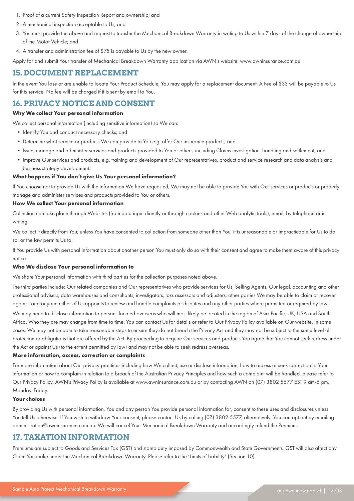- 1. Proof of a current Safety Inspection Report and ownership; and
- 2. A mechanical inspection acceptable to Us; and
- 3. You must provide the above and request to transfer the Mechanical Breakdown Warranty in writing to Us within 7 days of the change of ownership of the Motor Vehicle; and
- 4. A transfer and administration fee of \$75 is payable to Us by the new owner.

Apply for and submit Your transfer of Mechanical Breakdown Warranty application via AWN's website: www.awninsurance.com.au

### **15. DOCUMENT REPLACEMENT**

In the event You lose or are unable to locate Your Product Schedule, You may apply for a replacement document. A Fee of \$33 will be payable to Us for this service. No fee will be charged if it is sent by email to You.

### **16. PRIVACY NOTICE AND CONSENT**

#### **Why We collect Your personal information**

- We collect personal information (including sensitive information) so We can:
	- Identify You and conduct necessary checks; and
	- Determine what service or products We can provide to You e.g. offer Our insurance products; and
	- Issue, manage and administer services and products provided to You or others, including Claims investigation, handling and settlement; and
	- Improve Our services and products, e.g. training and development of Our representatives, product and service research and data analysis and business strategy development.

#### **What happens if You don't give Us Your personal information?**

If You choose not to provide Us with the information We have requested, We may not be able to provide You with Our services or products or properly manage and administer services and products provided to You or others.

#### **How We collect Your personal information**

Collection can take place through Websites (from data input directly or through cookies and other Web analytic tools), email, by telephone or in writing.

We collect it directly from You; unless You have consented to collection from someone other than You, it is unreasonable or impracticable for Us to do so, or the law permits Us to.

If You provide Us with personal information about another person You must only do so with their consent and agree to make them aware of this privacy notice.

#### **Who We disclose Your personal information to**

We share Your personal information with third parties for the collection purposes noted above.

The third parties include: Our related companies and Our representatives who provide services for Us, Selling Agents, Our legal, accounting and other professional advisers, data warehouses and consultants, investigators, loss assessors and adjusters, other parties We may be able to claim or recover against, and anyone either of Us appoints to review and handle complaints or disputes and any other parties where permitted or required by law.

We may need to disclose information to persons located overseas who will most likely be located in the region of Asia-Pacific, UK, USA and South Africa. Who they are may change from time to time. You can contact Us for details or refer to Our Privacy Policy available on Our website. In some cases, We may not be able to take reasonable steps to ensure they do not breach the Privacy Act and they may not be subject to the same level of protection or obligations that are offered by the Act. By proceeding to acquire Our services and products You agree that You cannot seek redress under the Act or against Us (to the extent permitted by law) and may not be able to seek redress overseas.

#### **More information, access, correction or complaints**

For more information about Our privacy practices including how We collect, use or disclose information, how to access or seek correction to Your information or how to complain in relation to a breach of the Australian Privacy Principles and how such a complaint will be handled, please refer to Our Privacy Policy. AWN's Privacy Policy is available at www.awninsurance.com.au or by contacting AWN on (07) 3802 5577 EST 9 am-5 pm, Monday-Friday.

#### **Your choices**

By providing Us with personal information, You and any person You provide personal information for, consent to these uses and disclosures unless You tell Us otherwise. If You wish to withdraw Your consent, please contact Us by calling (07) 3802 5577, alternatively, You can opt out by emailing administration@awninsurance.com.au. We will cancel Your Mechanical Breakdown Warranty and accordingly refund the Premium.

### **17. TAXATION INFORMATION**

Premiums are subject to Goods and Services Tax (GST) and stamp duty imposed by Commonwealth and State Governments. GST will also affect any Claim You make under the Mechanical Breakdown Warranty. Please refer to the 'Limits of Liability' (Section 10).